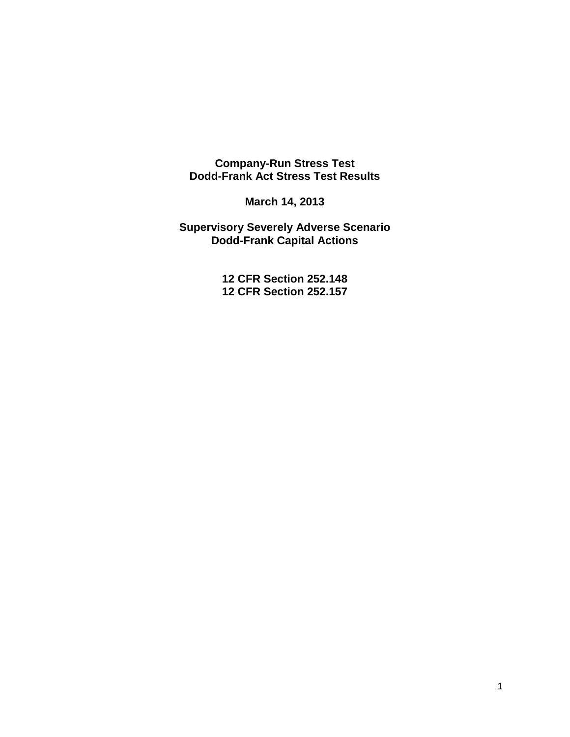#### **Company-Run Stress Test Dodd-Frank Act Stress Test Results**

**March 14, 2013** 

**Supervisory Severely Adverse Scenario Dodd-Frank Capital Actions** 

> **12 CFR Section 252.148 12 CFR Section 252.157**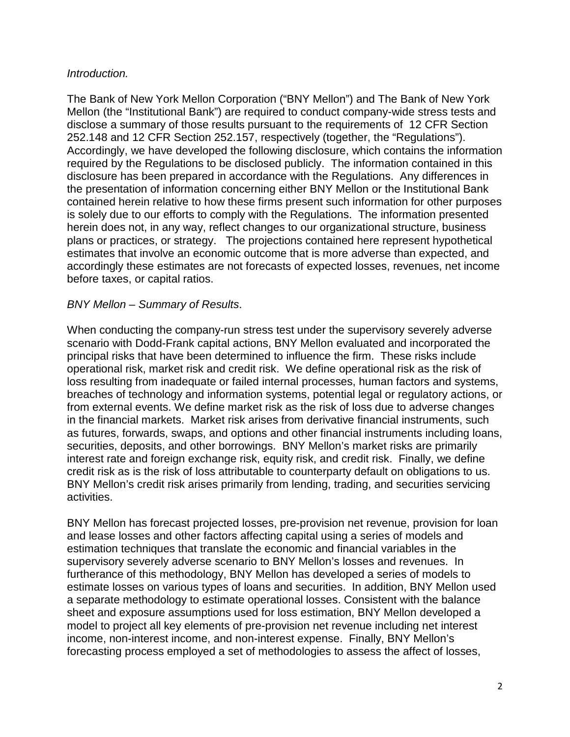# *Introduction.*

The Bank of New York Mellon Corporation ("BNY Mellon") and The Bank of New York Mellon (the "Institutional Bank") are required to conduct company-wide stress tests and disclose a summary of those results pursuant to the requirements of 12 CFR Section 252.148 and 12 CFR Section 252.157, respectively (together, the "Regulations"). Accordingly, we have developed the following disclosure, which contains the information required by the Regulations to be disclosed publicly. The information contained in this disclosure has been prepared in accordance with the Regulations. Any differences in the presentation of information concerning either BNY Mellon or the Institutional Bank contained herein relative to how these firms present such information for other purposes is solely due to our efforts to comply with the Regulations. The information presented herein does not, in any way, reflect changes to our organizational structure, business plans or practices, or strategy. The projections contained here represent hypothetical estimates that involve an economic outcome that is more adverse than expected, and accordingly these estimates are not forecasts of expected losses, revenues, net income before taxes, or capital ratios.

## *BNY Mellon – Summary of Results*.

When conducting the company-run stress test under the supervisory severely adverse scenario with Dodd-Frank capital actions, BNY Mellon evaluated and incorporated the principal risks that have been determined to influence the firm. These risks include operational risk, market risk and credit risk. We define operational risk as the risk of loss resulting from inadequate or failed internal processes, human factors and systems, breaches of technology and information systems, potential legal or regulatory actions, or from external events. We define market risk as the risk of loss due to adverse changes in the financial markets. Market risk arises from derivative financial instruments, such as futures, forwards, swaps, and options and other financial instruments including loans, securities, deposits, and other borrowings. BNY Mellon's market risks are primarily interest rate and foreign exchange risk, equity risk, and credit risk. Finally, we define credit risk as is the risk of loss attributable to counterparty default on obligations to us. BNY Mellon's credit risk arises primarily from lending, trading, and securities servicing activities.

BNY Mellon has forecast projected losses, pre-provision net revenue, provision for loan and lease losses and other factors affecting capital using a series of models and estimation techniques that translate the economic and financial variables in the supervisory severely adverse scenario to BNY Mellon's losses and revenues. In furtherance of this methodology, BNY Mellon has developed a series of models to estimate losses on various types of loans and securities. In addition, BNY Mellon used a separate methodology to estimate operational losses. Consistent with the balance sheet and exposure assumptions used for loss estimation, BNY Mellon developed a model to project all key elements of pre-provision net revenue including net interest income, non-interest income, and non-interest expense. Finally, BNY Mellon's forecasting process employed a set of methodologies to assess the affect of losses,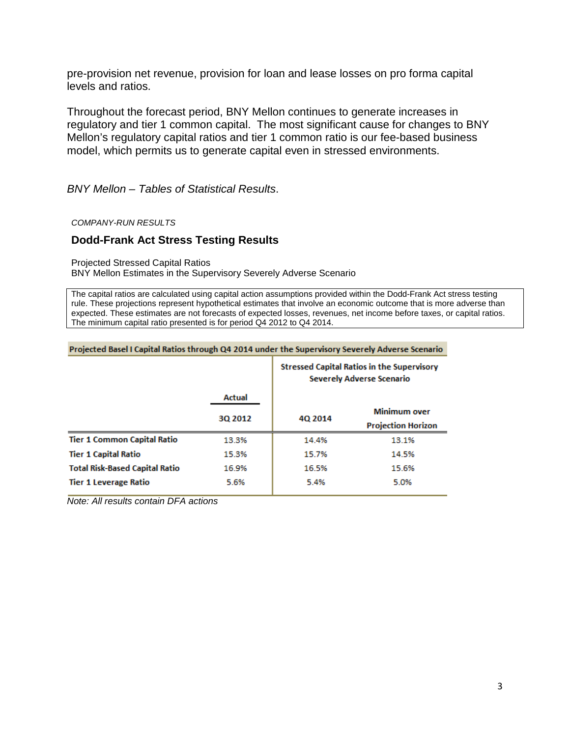pre-provision net revenue, provision for loan and lease losses on pro forma capital levels and ratios.

Throughout the forecast period, BNY Mellon continues to generate increases in regulatory and tier 1 common capital. The most significant cause for changes to BNY Mellon's regulatory capital ratios and tier 1 common ratio is our fee-based business model, which permits us to generate capital even in stressed environments.

BNY Mellon - Tables of Statistical Results.

**COMPANY-RUN RESULTS** 

#### **Dodd-Frank Act Stress Testing Results**

**Projected Stressed Capital Ratios** 

BNY Mellon Estimates in the Supervisory Severely Adverse Scenario

The capital ratios are calculated using capital action assumptions provided within the Dodd-Frank Act stress testing rule. These projections represent hypothetical estimates that involve an economic outcome that is more adverse than expected. These estimates are not forecasts of expected losses, revenues, net income before taxes, or capital ratios. The minimum capital ratio presented is for period Q4 2012 to Q4 2014.

| Projected basel i Capital Natios through Q4 2014 under the Supervisory Severely Adverse Scenario |         |                                                                                       |                           |  |
|--------------------------------------------------------------------------------------------------|---------|---------------------------------------------------------------------------------------|---------------------------|--|
|                                                                                                  |         | <b>Stressed Capital Ratios in the Supervisory</b><br><b>Severely Adverse Scenario</b> |                           |  |
|                                                                                                  | Actual  |                                                                                       |                           |  |
|                                                                                                  | 30 2012 | 4Q 2014                                                                               | <b>Minimum over</b>       |  |
|                                                                                                  |         |                                                                                       | <b>Projection Horizon</b> |  |
| <b>Tier 1 Common Capital Ratio</b>                                                               | 13.3%   | 14.4%                                                                                 | 13.1%                     |  |
| <b>Tier 1 Capital Ratio</b>                                                                      | 15.3%   | 15.7%                                                                                 | 14.5%                     |  |
| <b>Total Risk-Based Capital Ratio</b>                                                            | 16.9%   | 16.5%                                                                                 | 15.6%                     |  |
| <b>Tier 1 Leverage Ratio</b>                                                                     | 5.6%    | 5.4%                                                                                  | 5.0%                      |  |
|                                                                                                  |         |                                                                                       |                           |  |

 $\mathbf{r}$  , the transition of the contract of the state of the state of the state of the state of the state of the state of the state of the state of the state of the state of the state of the state of the state of the sta

Note: All results contain DFA actions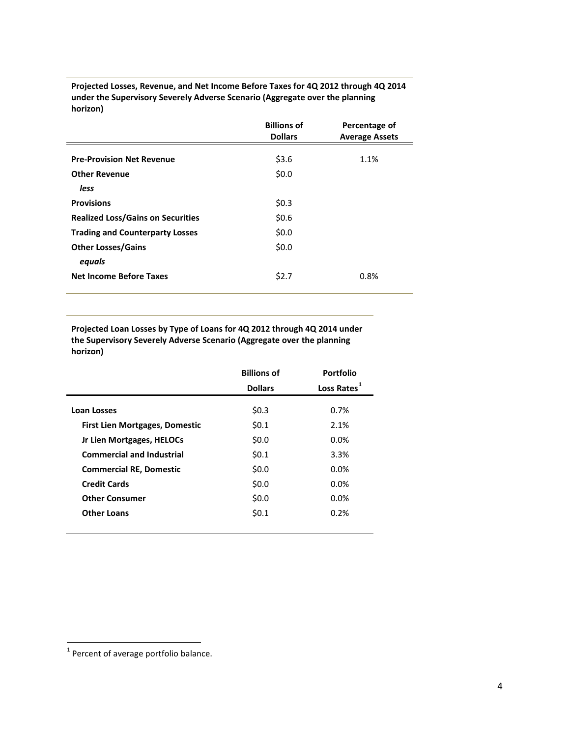**Projected Losses, Revenue, and Net Income Before Taxes for 4Q 2012 through 4Q 2014 under the Supervisory Severely Adverse Scenario (Aggregate over the planning horizon)** 

|                                          | <b>Billions of</b><br><b>Dollars</b> | Percentage of<br><b>Average Assets</b> |
|------------------------------------------|--------------------------------------|----------------------------------------|
| <b>Pre-Provision Net Revenue</b>         | \$3.6                                | 1.1%                                   |
| <b>Other Revenue</b>                     | \$0.0                                |                                        |
| less                                     |                                      |                                        |
| <b>Provisions</b>                        | \$0.3\$                              |                                        |
| <b>Realized Loss/Gains on Securities</b> | \$0.6                                |                                        |
| <b>Trading and Counterparty Losses</b>   | \$0.0                                |                                        |
| <b>Other Losses/Gains</b>                | \$0.0                                |                                        |
| eguals                                   |                                      |                                        |
| <b>Net Income Before Taxes</b>           | \$2.7                                | 0.8%                                   |

**Projected Loan Losses by Type of Loans for 4Q 2012 through 4Q 2014 under the Supervisory Severely Adverse Scenario (Aggregate over the planning horizon)** 

|                                       | <b>Billions of</b> | Portfolio               |
|---------------------------------------|--------------------|-------------------------|
|                                       | <b>Dollars</b>     | Loss Rates <sup>1</sup> |
| Loan Losses                           | \$0.3              | 0.7%                    |
| <b>First Lien Mortgages, Domestic</b> | 50.1               | 2.1%                    |
| Jr Lien Mortgages, HELOCs             | \$0.0\$            | 0.0%                    |
| <b>Commercial and Industrial</b>      | \$0.1              | 3.3%                    |
| <b>Commercial RE, Domestic</b>        | \$0.0              | 0.0%                    |
| <b>Credit Cards</b>                   | \$0.0              | 0.0%                    |
| <b>Other Consumer</b>                 | \$0.0              | 0.0%                    |
| <b>Other Loans</b>                    | \$0.1              | 0.2%                    |
|                                       |                    |                         |

<span id="page-3-0"></span><sup>1</sup> Percent of average portfolio balance.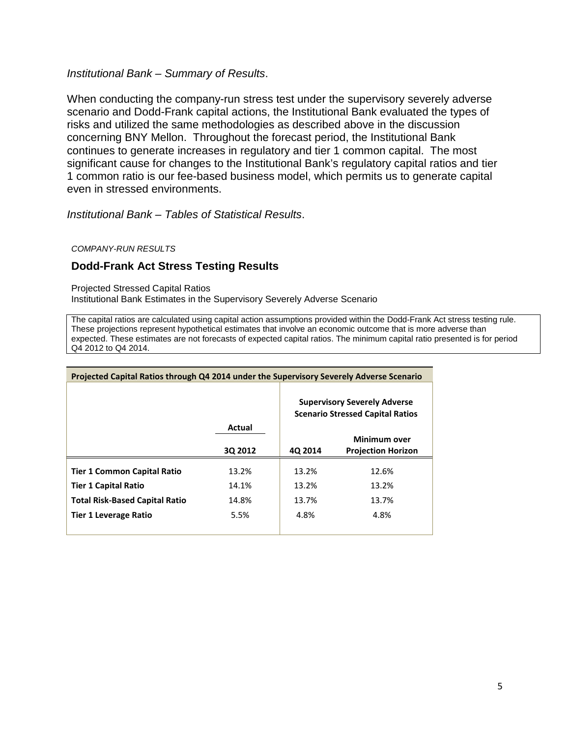*Institutional Bank – Summary of Results*.

When conducting the company-run stress test under the supervisory severely adverse scenario and Dodd-Frank capital actions, the Institutional Bank evaluated the types of risks and utilized the same methodologies as described above in the discussion concerning BNY Mellon. Throughout the forecast period, the Institutional Bank continues to generate increases in regulatory and tier 1 common capital. The most significant cause for changes to the Institutional Bank's regulatory capital ratios and tier 1 common ratio is our fee-based business model, which permits us to generate capital even in stressed environments.

*Institutional Bank – Tables of Statistical Results*.

*COMPANY-RUN RESULTS* 

## **Dodd-Frank Act Stress Testing Results**

Projected Stressed Capital Ratios Institutional Bank Estimates in the Supervisory Severely Adverse Scenario

The capital ratios are calculated using capital action assumptions provided within the Dodd-Frank Act stress testing rule. These projections represent hypothetical estimates that involve an economic outcome that is more adverse than expected. These estimates are not forecasts of expected capital ratios. The minimum capital ratio presented is for period Q4 2012 to Q4 2014.

| Projected Capital Ratios through Q4 2014 under the Supervisory Severely Adverse Scenario |         |                                                                                |                                                  |  |  |
|------------------------------------------------------------------------------------------|---------|--------------------------------------------------------------------------------|--------------------------------------------------|--|--|
|                                                                                          |         | <b>Supervisory Severely Adverse</b><br><b>Scenario Stressed Capital Ratios</b> |                                                  |  |  |
|                                                                                          | Actual  |                                                                                |                                                  |  |  |
|                                                                                          | 30 2012 | 4Q 2014                                                                        | <b>Minimum over</b><br><b>Projection Horizon</b> |  |  |
|                                                                                          |         |                                                                                |                                                  |  |  |
| <b>Tier 1 Common Capital Ratio</b>                                                       | 13.2%   | 13.2%                                                                          | 12.6%                                            |  |  |
| <b>Tier 1 Capital Ratio</b>                                                              | 14.1%   | 13.2%                                                                          | 13.2%                                            |  |  |
| <b>Total Risk-Based Capital Ratio</b>                                                    | 14.8%   | 13.7%                                                                          | 13.7%                                            |  |  |
| <b>Tier 1 Leverage Ratio</b>                                                             | 5.5%    | 4.8%                                                                           | 4.8%                                             |  |  |
|                                                                                          |         |                                                                                |                                                  |  |  |